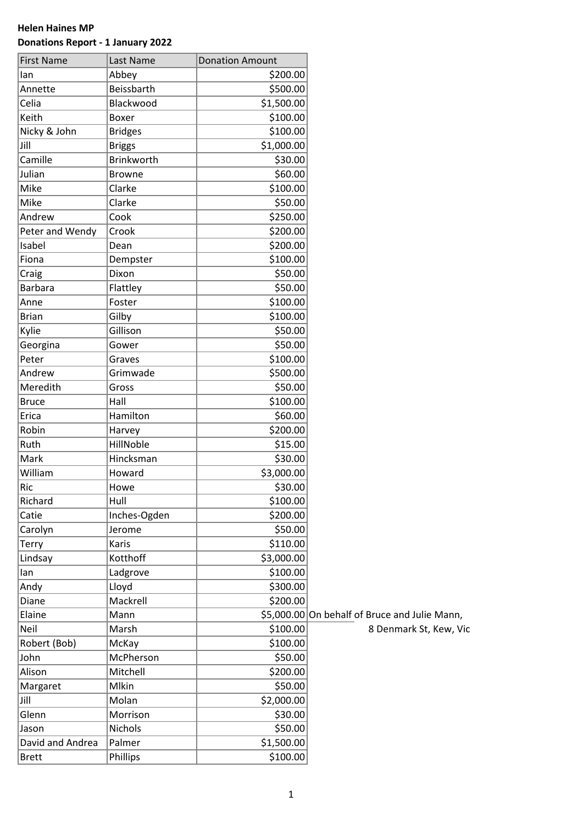## **Helen Haines MP Donations Report - 1 January 2022**

| <b>First Name</b> | Last Name         | <b>Donation Amount</b> |                                               |
|-------------------|-------------------|------------------------|-----------------------------------------------|
| lan               | Abbey             | \$200.00               |                                               |
| Annette           | Beissbarth        | \$500.00               |                                               |
| Celia             | Blackwood         | \$1,500.00             |                                               |
| Keith             | Boxer             | \$100.00               |                                               |
| Nicky & John      | <b>Bridges</b>    | \$100.00               |                                               |
| Jill              | <b>Briggs</b>     | \$1,000.00             |                                               |
| Camille           | <b>Brinkworth</b> | \$30.00                |                                               |
| Julian            | <b>Browne</b>     | \$60.00                |                                               |
| Mike              | Clarke            | \$100.00               |                                               |
| Mike              | Clarke            | \$50.00                |                                               |
| Andrew            | Cook              | \$250.00               |                                               |
| Peter and Wendy   | Crook             | \$200.00               |                                               |
| Isabel            | Dean              | \$200.00               |                                               |
| Fiona             | Dempster          | \$100.00               |                                               |
| Craig             | Dixon             | \$50.00                |                                               |
| <b>Barbara</b>    | Flattley          | \$50.00                |                                               |
| Anne              | Foster            | \$100.00               |                                               |
| <b>Brian</b>      | Gilby             | \$100.00               |                                               |
| Kylie             | Gillison          | \$50.00                |                                               |
| Georgina          | Gower             | \$50.00                |                                               |
| Peter             | Graves            | \$100.00               |                                               |
| Andrew            | Grimwade          | \$500.00               |                                               |
| Meredith          | Gross             | \$50.00                |                                               |
| <b>Bruce</b>      | Hall              | \$100.00               |                                               |
| Erica             | Hamilton          | \$60.00                |                                               |
| Robin             | Harvey            | \$200.00               |                                               |
| Ruth              | HillNoble         | \$15.00                |                                               |
| Mark              | Hincksman         | \$30.00                |                                               |
| William           | Howard            | \$3,000.00             |                                               |
| Ric               | Howe              | \$30.00                |                                               |
| Richard           | Hull              | \$100.00               |                                               |
| Catie             | Inches-Ogden      | \$200.00               |                                               |
| Carolyn           | Jerome            | \$50.00                |                                               |
| <b>Terry</b>      | Karis             | \$110.00               |                                               |
| Lindsay           | Kotthoff          | \$3,000.00             |                                               |
| lan               | Ladgrove          | \$100.00               |                                               |
| Andy              | Lloyd             | \$300.00               |                                               |
| Diane             | Mackrell          | \$200.00               |                                               |
| Elaine            | Mann              |                        | \$5,000.00 On behalf of Bruce and Julie Mann, |
| Neil              | Marsh             | \$100.00               | 8 Denmark St, Kew, Vic                        |
| Robert (Bob)      | McKay             | \$100.00               |                                               |
| John              | McPherson         | \$50.00                |                                               |
| Alison            | Mitchell          | \$200.00               |                                               |
| Margaret          | Mlkin             | \$50.00                |                                               |
| Jill              | Molan             | \$2,000.00             |                                               |
| Glenn             | Morrison          | \$30.00                |                                               |
| Jason             | Nichols           | \$50.00                |                                               |
| David and Andrea  | Palmer            | \$1,500.00             |                                               |
| <b>Brett</b>      | Phillips          | \$100.00               |                                               |
|                   |                   |                        |                                               |